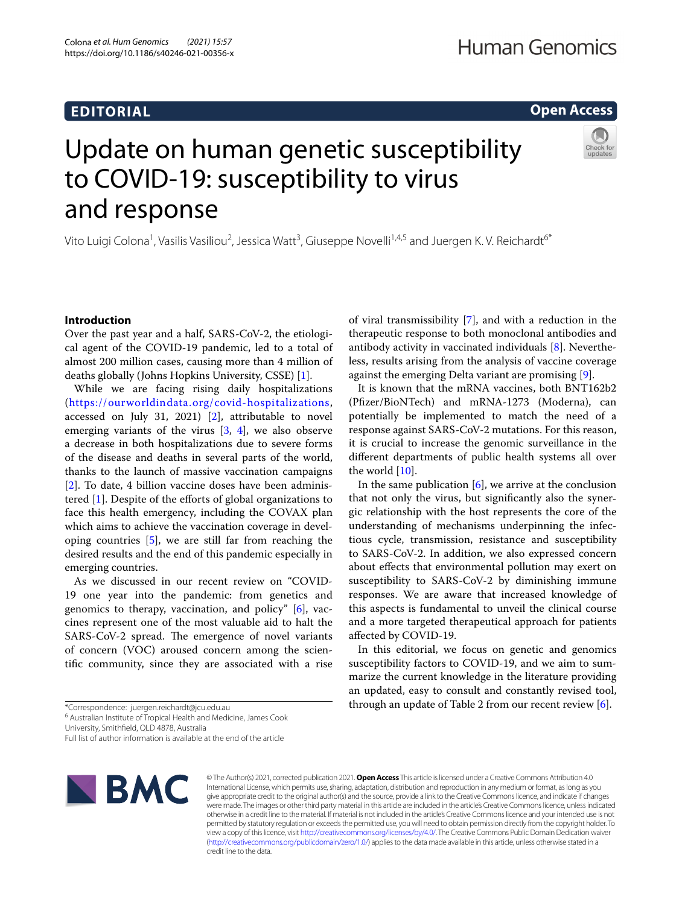# **EDITORIAL**

# **Open Access**

# Update on human genetic susceptibility to COVID-19: susceptibility to virus and response

Vito Luigi Colona<sup>1</sup>, Vasilis Vasiliou<sup>2</sup>, Jessica Watt<sup>3</sup>, Giuseppe Novelli<sup>1,4,5</sup> and Juergen K. V. Reichardt<sup>6\*</sup>

# **Introduction**

Over the past year and a half, SARS-CoV-2, the etiological agent of the COVID-19 pandemic, led to a total of almost 200 million cases, causing more than 4 million of deaths globally (Johns Hopkins University, CSSE) [[1\]](#page-5-0).

While we are facing rising daily hospitalizations (<https://ourworldindata.org/covid-hospitalizations>, accessed on July 31, 2021) [[2\]](#page-5-1), attributable to novel emerging variants of the virus  $[3, 4]$  $[3, 4]$  $[3, 4]$  $[3, 4]$ , we also observe a decrease in both hospitalizations due to severe forms of the disease and deaths in several parts of the world, thanks to the launch of massive vaccination campaigns [[2\]](#page-5-1). To date, 4 billion vaccine doses have been administered [[1\]](#page-5-0). Despite of the eforts of global organizations to face this health emergency, including the COVAX plan which aims to achieve the vaccination coverage in developing countries [\[5](#page-5-4)], we are still far from reaching the desired results and the end of this pandemic especially in emerging countries.

As we discussed in our recent review on "COVID-19 one year into the pandemic: from genetics and genomics to therapy, vaccination, and policy" [[6\]](#page-5-5), vaccines represent one of the most valuable aid to halt the SARS-CoV-2 spread. The emergence of novel variants of concern (VOC) aroused concern among the scientifc community, since they are associated with a rise

<sup>6</sup> Australian Institute of Tropical Health and Medicine, James Cook

University, Smithfeld, QLD 4878, Australia

Full list of author information is available at the end of the article



© The Author(s) 2021, corrected publication 2021. **Open Access** This article is licensed under a Creative Commons Attribution 4.0 International License, which permits use, sharing, adaptation, distribution and reproduction in any medium or format, as long as you give appropriate credit to the original author(s) and the source, provide a link to the Creative Commons licence, and indicate if changes were made. The images or other third party material in this article are included in the article's Creative Commons licence, unless indicated otherwise in a credit line to the material. If material is not included in the article's Creative Commons licence and your intended use is not permitted by statutory regulation or exceeds the permitted use, you will need to obtain permission directly from the copyright holder. To view a copy of this licence, visit [http://creativecommons.org/licenses/by/4.0/.](http://creativecommons.org/licenses/by/4.0/) The Creative Commons Public Domain Dedication waiver [\(http://creativecommons.org/publicdomain/zero/1.0/\)](http://creativecommons.org/publicdomain/zero/1.0/) applies to the data made available in this article, unless otherwise stated in a credit line to the data.

of viral transmissibility [[7](#page-5-6)], and with a reduction in the therapeutic response to both monoclonal antibodies and antibody activity in vaccinated individuals [[8\]](#page-5-7). Nevertheless, results arising from the analysis of vaccine coverage against the emerging Delta variant are promising [\[9](#page-5-8)].

It is known that the mRNA vaccines, both BNT162b2 (Pfzer/BioNTech) and mRNA-1273 (Moderna), can potentially be implemented to match the need of a response against SARS-CoV-2 mutations. For this reason, it is crucial to increase the genomic surveillance in the diferent departments of public health systems all over the world [\[10](#page-5-9)].

In the same publication  $[6]$  $[6]$ , we arrive at the conclusion that not only the virus, but signifcantly also the synergic relationship with the host represents the core of the understanding of mechanisms underpinning the infectious cycle, transmission, resistance and susceptibility to SARS-CoV-2. In addition, we also expressed concern about efects that environmental pollution may exert on susceptibility to SARS-CoV-2 by diminishing immune responses. We are aware that increased knowledge of this aspects is fundamental to unveil the clinical course and a more targeted therapeutical approach for patients afected by COVID-19.

In this editorial, we focus on genetic and genomics susceptibility factors to COVID-19, and we aim to summarize the current knowledge in the literature providing an updated, easy to consult and constantly revised tool, through an update of Table 2 from our recent review  $[6]$  $[6]$ .

<sup>\*</sup>Correspondence: juergen.reichardt@jcu.edu.au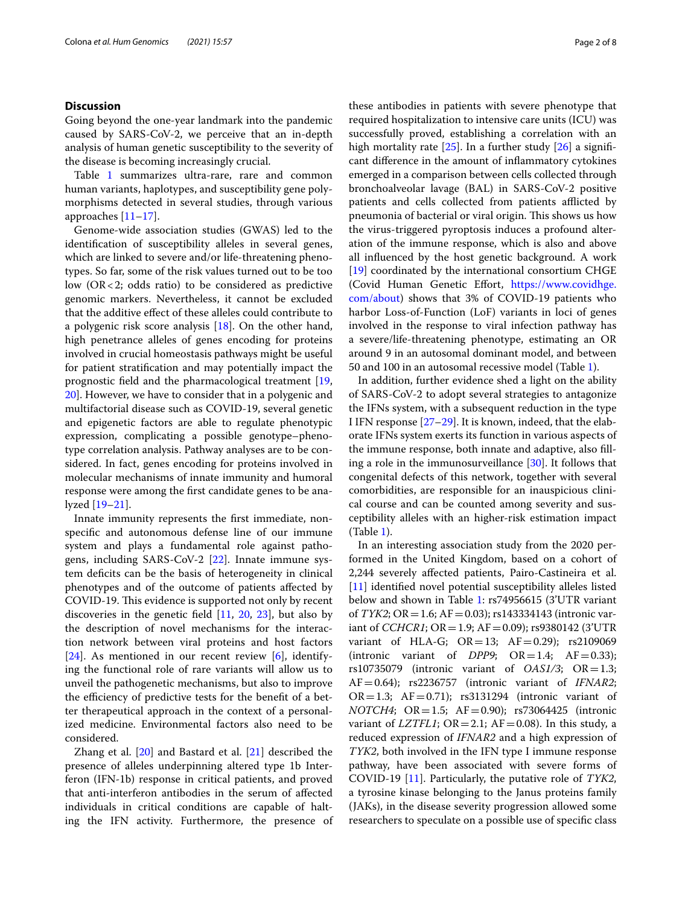### **Discussion**

Going beyond the one-year landmark into the pandemic caused by SARS-CoV-2, we perceive that an in-depth analysis of human genetic susceptibility to the severity of the disease is becoming increasingly crucial.

Table [1](#page-2-0) summarizes ultra-rare, rare and common human variants, haplotypes, and susceptibility gene polymorphisms detected in several studies, through various approaches [[11](#page-5-10)[–17](#page-5-11)].

Genome-wide association studies (GWAS) led to the identifcation of susceptibility alleles in several genes, which are linked to severe and/or life-threatening phenotypes. So far, some of the risk values turned out to be too low (OR<2; odds ratio) to be considered as predictive genomic markers. Nevertheless, it cannot be excluded that the additive efect of these alleles could contribute to a polygenic risk score analysis [[18\]](#page-5-12). On the other hand, high penetrance alleles of genes encoding for proteins involved in crucial homeostasis pathways might be useful for patient stratifcation and may potentially impact the prognostic feld and the pharmacological treatment [\[19](#page-5-13), [20\]](#page-5-14). However, we have to consider that in a polygenic and multifactorial disease such as COVID-19, several genetic and epigenetic factors are able to regulate phenotypic expression, complicating a possible genotype–phenotype correlation analysis. Pathway analyses are to be considered. In fact, genes encoding for proteins involved in molecular mechanisms of innate immunity and humoral response were among the frst candidate genes to be analyzed [[19–](#page-5-13)[21](#page-5-15)].

Innate immunity represents the frst immediate, nonspecifc and autonomous defense line of our immune system and plays a fundamental role against pathogens, including SARS-CoV-2 [[22\]](#page-5-16). Innate immune system deficits can be the basis of heterogeneity in clinical phenotypes and of the outcome of patients afected by COVID-19. This evidence is supported not only by recent discoveries in the genetic field  $[11, 20, 23]$  $[11, 20, 23]$  $[11, 20, 23]$  $[11, 20, 23]$  $[11, 20, 23]$  $[11, 20, 23]$ , but also by the description of novel mechanisms for the interaction network between viral proteins and host factors [[24\]](#page-5-18). As mentioned in our recent review [[6](#page-5-5)], identifying the functional role of rare variants will allow us to unveil the pathogenetic mechanisms, but also to improve the efficiency of predictive tests for the benefit of a better therapeutical approach in the context of a personalized medicine. Environmental factors also need to be considered.

Zhang et al. [\[20](#page-5-14)] and Bastard et al. [[21\]](#page-5-15) described the presence of alleles underpinning altered type 1b Interferon (IFN-1b) response in critical patients, and proved that anti-interferon antibodies in the serum of afected individuals in critical conditions are capable of halting the IFN activity. Furthermore, the presence of these antibodies in patients with severe phenotype that required hospitalization to intensive care units (ICU) was successfully proved, establishing a correlation with an high mortality rate  $[25]$  $[25]$ . In a further study  $[26]$  $[26]$  a significant diference in the amount of infammatory cytokines emerged in a comparison between cells collected through bronchoalveolar lavage (BAL) in SARS-CoV-2 positive patients and cells collected from patients afflicted by pneumonia of bacterial or viral origin. This shows us how the virus-triggered pyroptosis induces a profound alteration of the immune response, which is also and above all infuenced by the host genetic background. A work [[19\]](#page-5-13) coordinated by the international consortium CHGE (Covid Human Genetic Effort, [https://www.covidhge.](https://www.covidhge.com/about) [com/about](https://www.covidhge.com/about)) shows that 3% of COVID-19 patients who harbor Loss-of-Function (LoF) variants in loci of genes involved in the response to viral infection pathway has a severe/life-threatening phenotype, estimating an OR around 9 in an autosomal dominant model, and between 50 and 100 in an autosomal recessive model (Table [1](#page-2-0)).

In addition, further evidence shed a light on the ability of SARS-CoV-2 to adopt several strategies to antagonize the IFNs system, with a subsequent reduction in the type I IFN response [\[27–](#page-5-21)[29\]](#page-5-22). It is known, indeed, that the elaborate IFNs system exerts its function in various aspects of the immune response, both innate and adaptive, also flling a role in the immunosurveillance [\[30\]](#page-5-23). It follows that congenital defects of this network, together with several comorbidities, are responsible for an inauspicious clinical course and can be counted among severity and susceptibility alleles with an higher-risk estimation impact (Table [1\)](#page-2-0).

In an interesting association study from the 2020 performed in the United Kingdom, based on a cohort of 2,244 severely afected patients, Pairo-Castineira et al. [[11\]](#page-5-10) identified novel potential susceptibility alleles listed below and shown in Table [1](#page-2-0): rs74956615 (3'UTR variant of *TYK2*; OR=1.6; AF=0.03); rs143334143 (intronic variant of *CCHCR1*; OR = 1.9; AF = 0.09); rs9380142 (3'UTR variant of HLA-G;  $OR = 13$ ;  $AF = 0.29$ ; rs2109069 (intronic variant of *DPP9*;  $OR = 1.4$ ;  $AF = 0.33$ ); rs10735079 (intronic variant of  $OAS1/3$ ;  $OR = 1.3$ ; AF=0.64); rs2236757 (intronic variant of *IFNAR2*;  $OR = 1.3$ ;  $AF = 0.71$ ); rs3131294 (intronic variant of *NOTCH4*; OR=1.5; AF=0.90); rs73064425 (intronic variant of *LZTFL1*;  $OR = 2.1$ ;  $AF = 0.08$ ). In this study, a reduced expression of *IFNAR2* and a high expression of *TYK2*, both involved in the IFN type I immune response pathway, have been associated with severe forms of COVID-19 [[11\]](#page-5-10). Particularly, the putative role of *TYK2*, a tyrosine kinase belonging to the Janus proteins family (JAKs), in the disease severity progression allowed some researchers to speculate on a possible use of specifc class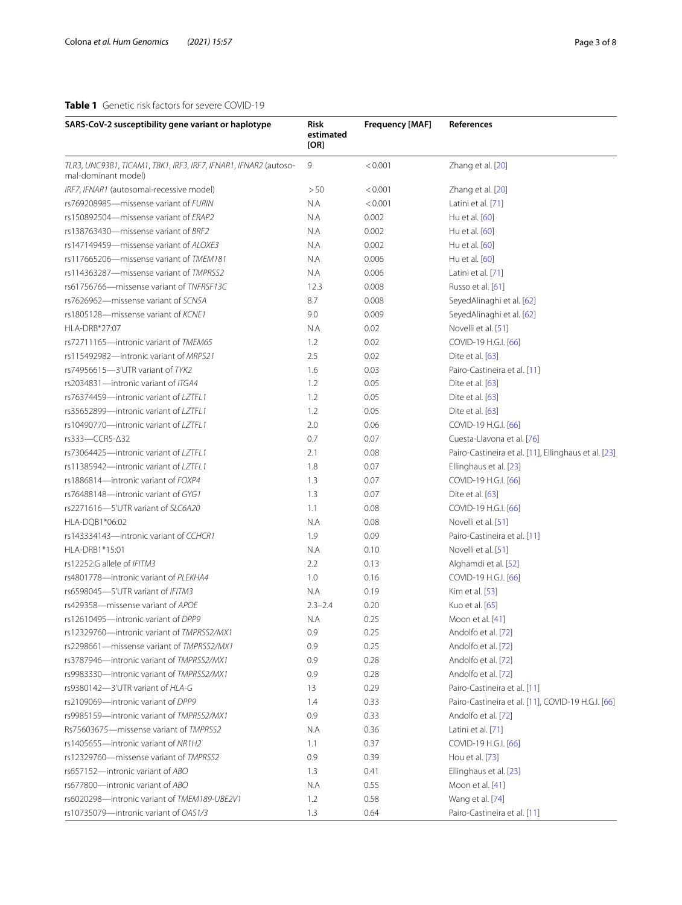# <span id="page-2-0"></span>**Table 1** Genetic risk factors for severe COVID-19

| SARS-CoV-2 susceptibility gene variant or haplotype                                     | <b>Risk</b><br>estimated<br>[OR] | <b>Frequency [MAF]</b> | References                                           |
|-----------------------------------------------------------------------------------------|----------------------------------|------------------------|------------------------------------------------------|
| TLR3, UNC93B1, TICAM1, TBK1, IRF3, IRF7, IFNAR1, IFNAR2 (autoso-<br>mal-dominant model) | 9                                | < 0.001                | Zhang et al. [20]                                    |
| IRF7, IFNAR1 (autosomal-recessive model)                                                | > 50                             | < 0.001                | Zhang et al. [20]                                    |
| rs769208985-missense variant of FURIN                                                   | N.A                              | < 0.001                | Latini et al. [71]                                   |
| rs150892504-missense variant of ERAP2                                                   | N.A                              | 0.002                  | Hu et al. [60]                                       |
| rs138763430-missense variant of BRF2                                                    | N.A                              | 0.002                  | Hu et al. [60]                                       |
| rs147149459-missense variant of ALOXE3                                                  | N.A                              | 0.002                  | Hu et al. [60]                                       |
| rs117665206-missense variant of TMEM181                                                 | N.A                              | 0.006                  | Hu et al. [60]                                       |
| rs114363287-missense variant of TMPRSS2                                                 | N.A                              | 0.006                  | Latini et al. [71]                                   |
| rs61756766-missense variant of TNFRSF13C                                                | 12.3                             | 0.008                  | Russo et al. [61]                                    |
| rs7626962-missense variant of SCN5A                                                     | 8.7                              | 0.008                  | SeyedAlinaghi et al. [62]                            |
| rs1805128-missense variant of KCNE1                                                     | 9.0                              | 0.009                  | SeyedAlinaghi et al. [62]                            |
| HLA-DRB*27:07                                                                           | N.A                              | 0.02                   | Novelli et al. [51]                                  |
| rs72711165-intronic variant of TMEM65                                                   | 1.2                              | 0.02                   | COVID-19 H.G.I. [66]                                 |
| rs115492982-intronic variant of MRPS21                                                  | 2.5                              | 0.02                   | Dite et al. [63]                                     |
| rs74956615-3'UTR variant of TYK2                                                        | 1.6                              | 0.03                   | Pairo-Castineira et al. [11]                         |
| rs2034831-intronic variant of ITGA4                                                     | 1.2                              | 0.05                   | Dite et al. [63]                                     |
| rs76374459-intronic variant of LZTFL1                                                   | 1.2                              | 0.05                   | Dite et al. [63]                                     |
| rs35652899-intronic variant of LZTFL1                                                   | 1.2                              | 0.05                   | Dite et al. [63]                                     |
| rs10490770-intronic variant of LZTFL1                                                   | 2.0                              | 0.06                   | COVID-19 H.G.I. [66]                                 |
| rs333-CCR5-∆32                                                                          | 0.7                              | 0.07                   | Cuesta-Llavona et al. [76]                           |
| rs73064425-intronic variant of LZTFL1                                                   | 2.1                              | 0.08                   | Pairo-Castineira et al. [11], Ellinghaus et al. [23] |
| rs11385942-intronic variant of LZTFL1                                                   | 1.8                              | 0.07                   | Ellinghaus et al. [23]                               |
| rs1886814-intronic variant of FOXP4                                                     | 1.3                              | 0.07                   | COVID-19 H.G.I. [66]                                 |
| rs76488148-intronic variant of GYG1                                                     | 1.3                              | 0.07                   | Dite et al. [63]                                     |
| rs2271616-5'UTR variant of SLC6A20                                                      | 1.1                              | 0.08                   | COVID-19 H.G.I. [66]                                 |
| HLA-DQB1*06:02                                                                          | N.A                              | 0.08                   | Novelli et al. [51]                                  |
| rs143334143-intronic variant of CCHCR1                                                  | 1.9                              | 0.09                   | Pairo-Castineira et al. [11]                         |
| HLA-DRB1*15:01                                                                          | N.A                              | 0.10                   | Novelli et al. [51]                                  |
| rs12252:G allele of IFITM3                                                              | 2.2                              | 0.13                   | Alghamdi et al. [52]                                 |
| rs4801778-intronic variant of PLEKHA4                                                   | 1.0                              | 0.16                   | COVID-19 H.G.I. [66]                                 |
| rs6598045-5'UTR variant of IFITM3                                                       | N.A                              | 0.19                   | Kim et al. [53]                                      |
| rs429358-missense variant of APOE                                                       | $2.3 - 2.4$                      | 0.20                   | Kuo et al. [65]                                      |
| rs12610495-intronic variant of DPP9                                                     | N.A                              | 0.25                   | Moon et al. [41]                                     |
| rs12329760-intronic variant of TMPRSS2/MX1                                              | 0.9                              | 0.25                   | Andolfo et al. [72]                                  |
| rs2298661-missense variant of TMPRSS2/MX1                                               | 0.9                              | 0.25                   | Andolfo et al. [72]                                  |
| rs3787946-intronic variant of TMPRSS2/MX1                                               | 0.9                              | 0.28                   | Andolfo et al. [72]                                  |
| rs9983330-intronic variant of TMPRSS2/MX1                                               |                                  |                        | Andolfo et al. [72]                                  |
| rs9380142-3'UTR variant of HLA-G                                                        | 0.9                              | 0.28                   | Pairo-Castineira et al. [11]                         |
| rs2109069-intronic variant of DPP9                                                      | 13                               | 0.29                   | Pairo-Castineira et al. [11], COVID-19 H.G.I. [66]   |
| rs9985159-intronic variant of TMPRSS2/MX1                                               | 1.4                              | 0.33                   |                                                      |
|                                                                                         | 0.9                              | 0.33                   | Andolfo et al. [72]                                  |
| Rs75603675-missense variant of TMPRSS2                                                  | N.A                              | 0.36                   | Latini et al. [71]                                   |
| rs1405655-intronic variant of NR1H2                                                     | 1.1                              | 0.37                   | COVID-19 H.G.I. [66]                                 |
| rs12329760-missense variant of TMPRSS2                                                  | 0.9                              | 0.39                   | Hou et al. [73]                                      |
| rs657152-intronic variant of ABO                                                        | 1.3                              | 0.41                   | Ellinghaus et al. [23]                               |
| rs677800-intronic variant of ABO                                                        | N.A                              | 0.55                   | Moon et al. [41]                                     |
| rs6020298-intronic variant of TMEM189-UBE2V1                                            | 1.2                              | 0.58                   | Wang et al. [74]                                     |
| rs10735079-intronic variant of OAS1/3                                                   | 1.3                              | 0.64                   | Pairo-Castineira et al. [11]                         |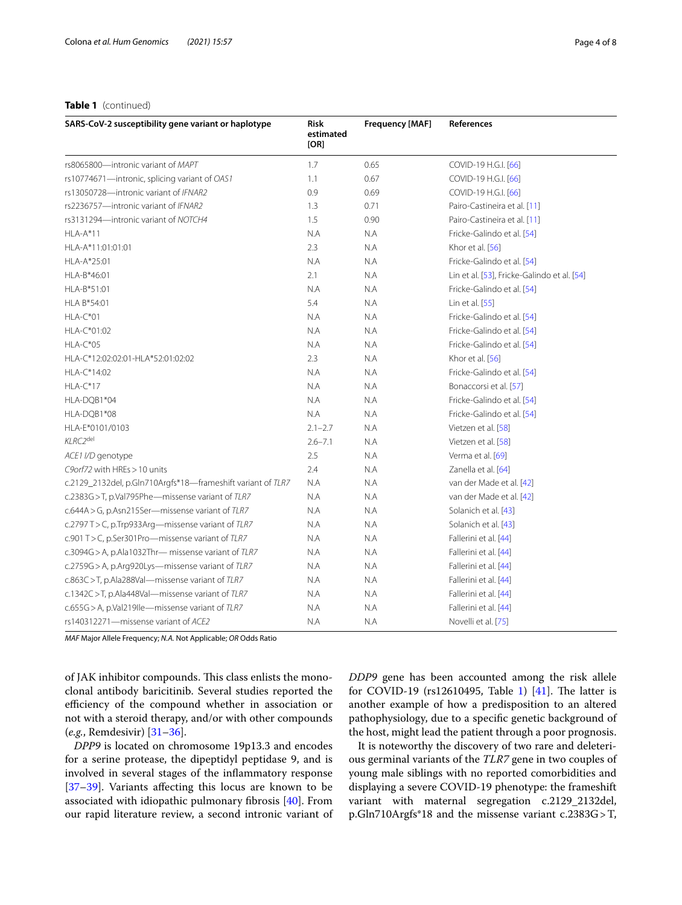## **Table 1** (continued)

| SARS-CoV-2 susceptibility gene variant or haplotype         | Risk<br>estimated<br>[OR] | <b>Frequency [MAF]</b> | References                                  |
|-------------------------------------------------------------|---------------------------|------------------------|---------------------------------------------|
| rs8065800-intronic variant of MAPT                          | 1.7                       | 0.65                   | COVID-19 H.G.I. [66]                        |
| rs10774671—intronic, splicing variant of OAS1               | 1.1                       | 0.67                   | COVID-19 H.G.I. [66]                        |
| rs13050728-intronic variant of IFNAR2                       | 0.9                       | 0.69                   | COVID-19 H.G.I. [66]                        |
| rs2236757-intronic variant of IFNAR2                        | 1.3                       | 0.71                   | Pairo-Castineira et al. [11]                |
| rs3131294-intronic variant of NOTCH4                        | 1.5                       | 0.90                   | Pairo-Castineira et al. [11]                |
| $HLA-A*11$                                                  | N.A                       | N.A                    | Fricke-Galindo et al. [54]                  |
| HLA-A*11:01:01:01                                           | 2.3                       | N.A                    | Khor et al. [56]                            |
| HLA-A*25:01                                                 | N.A                       | N.A                    | Fricke-Galindo et al. [54]                  |
| HLA-B*46:01                                                 | 2.1                       | N.A                    | Lin et al. [53], Fricke-Galindo et al. [54] |
| HLA-B*51:01                                                 | N.A                       | N.A                    | Fricke-Galindo et al. [54]                  |
| HLA B*54:01                                                 | 5.4                       | N.A                    | Lin et al. [55]                             |
| $HLA-C*01$                                                  | N.A                       | N.A                    | Fricke-Galindo et al. [54]                  |
| HLA-C*01:02                                                 | N.A                       | N.A                    | Fricke-Galindo et al. [54]                  |
| $HLA-C*05$                                                  | N.A                       | N.A                    | Fricke-Galindo et al. [54]                  |
| HLA-C*12:02:02:01-HLA*52:01:02:02                           | 2.3                       | N.A                    | Khor et al. [56]                            |
| HLA-C*14:02                                                 | N.A                       | N.A                    | Fricke-Galindo et al. [54]                  |
| $HLA-C*17$                                                  | N.A                       | N.A                    | Bonaccorsi et al. [57]                      |
| HLA-DQB1*04                                                 | N.A                       | N.A                    | Fricke-Galindo et al. [54]                  |
| HLA-DQB1*08                                                 | N.A                       | N.A                    | Fricke-Galindo et al. [54]                  |
| HLA-E*0101/0103                                             | $2.1 - 2.7$               | N.A                    | Vietzen et al. [58]                         |
| KLRC2del                                                    | $2.6 - 7.1$               | N.A                    | Vietzen et al. [58]                         |
| ACE1 I/D genotype                                           | 2.5                       | N.A                    | Verma et al. [69]                           |
| C9orf72 with HREs > 10 units                                | 2.4                       | N.A                    | Zanella et al. [64]                         |
| c.2129_2132del, p.Gln710Argfs*18-frameshift variant of TLR7 | N.A                       | N.A                    | van der Made et al. [42]                    |
| c.2383G > T, p.Val795Phe-missense variant of TLR7           | N.A                       | N.A                    | van der Made et al. [42]                    |
| c.644A > G, p.Asn215Ser-missense variant of TLR7            | N.A                       | N.A                    | Solanich et al. [43]                        |
| c.2797 T > C, p.Trp933 Arg—missense variant of TLR7         | N.A                       | N.A                    | Solanich et al. [43]                        |
| c.901 T > C, p.Ser301Pro-missense variant of TLR7           | N.A                       | N.A                    | Fallerini et al. [44]                       |
| c.3094G > A, p.Ala1032Thr- missense variant of TLR7         | N.A                       | N.A                    | Fallerini et al. [44]                       |
| c.2759G > A, p.Arg920Lys-missense variant of TLR7           | N.A                       | N.A                    | Fallerini et al. [44]                       |
| c.863C > T, p.Ala288Val-missense variant of TLR7            | N.A                       | N.A                    | Fallerini et al. [44]                       |
| c.1342C > T, p.Ala448Val-missense variant of TLR7           | N.A                       | N.A                    | Fallerini et al. [44]                       |
| c.655G > A, p.Val219lle-missense variant of TLR7            | N.A                       | N.A                    | Fallerini et al. [44]                       |
| rs140312271-missense variant of ACE2                        | N.A                       | N.A                    | Novelli et al. [75]                         |

*MAF* Major Allele Frequency; *N.A.* Not Applicable; *OR* Odds Ratio

of JAK inhibitor compounds. This class enlists the monoclonal antibody baricitinib. Several studies reported the efficiency of the compound whether in association or not with a steroid therapy, and/or with other compounds (*e.g.*, Remdesivir) [[31–](#page-5-24)[36\]](#page-6-10).

*DPP9* is located on chromosome 19p13.3 and encodes for a serine protease, the dipeptidyl peptidase 9, and is involved in several stages of the infammatory response [[37–](#page-6-11)[39](#page-6-12)]. Variants afecting this locus are known to be associated with idiopathic pulmonary fbrosis [\[40](#page-6-13)]. From our rapid literature review, a second intronic variant of *DDP9* gene has been accounted among the risk allele for COVID-[1](#page-2-0)9 (rs12610495, Table 1)  $[41]$  $[41]$ . The latter is another example of how a predisposition to an altered pathophysiology, due to a specifc genetic background of the host, might lead the patient through a poor prognosis.

It is noteworthy the discovery of two rare and deleterious germinal variants of the *TLR7* gene in two couples of young male siblings with no reported comorbidities and displaying a severe COVID-19 phenotype: the frameshift variant with maternal segregation c.2129\_2132del, p.Gln710Argfs\*18 and the missense variant c.2383G>T,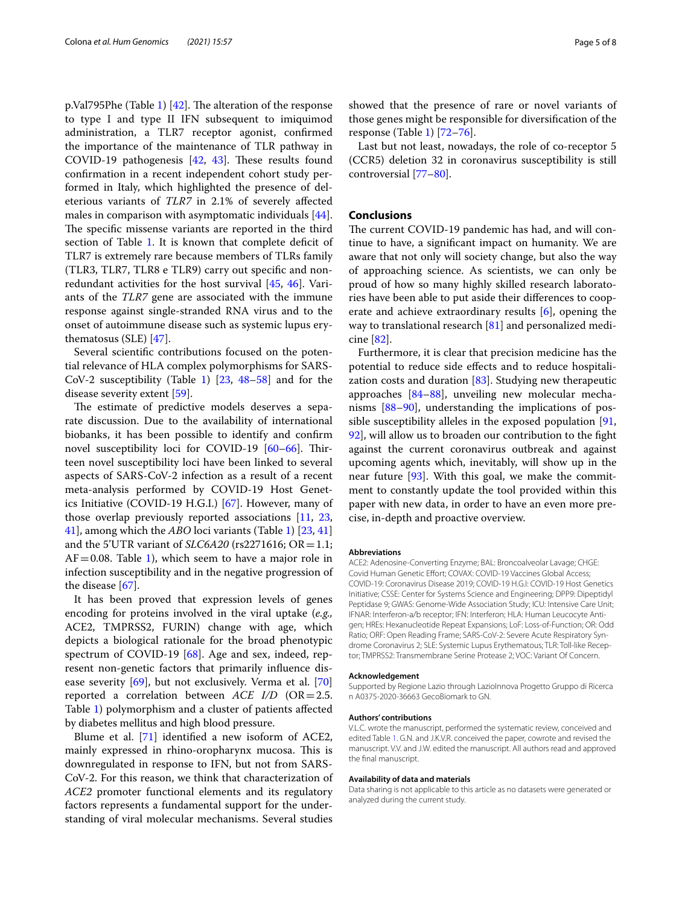p.Val795Phe (Table [1](#page-2-0))  $[42]$ . The alteration of the response to type I and type II IFN subsequent to imiquimod administration, a TLR7 receptor agonist, confrmed the importance of the maintenance of TLR pathway in COVID-19 pathogenesis  $[42, 43]$  $[42, 43]$  $[42, 43]$  $[42, 43]$ . These results found confrmation in a recent independent cohort study performed in Italy, which highlighted the presence of deleterious variants of *TLR7* in 2.1% of severely afected males in comparison with asymptomatic individuals [\[44](#page-6-22)]. The specific missense variants are reported in the third section of Table [1.](#page-2-0) It is known that complete deficit of TLR7 is extremely rare because members of TLRs family (TLR3, TLR7, TLR8 e TLR9) carry out specifc and nonredundant activities for the host survival [\[45](#page-6-23), [46\]](#page-6-24). Variants of the *TLR7* gene are associated with the immune response against single-stranded RNA virus and to the onset of autoimmune disease such as systemic lupus erythematosus (SLE) [\[47\]](#page-6-25).

Several scientifc contributions focused on the potential relevance of HLA complex polymorphisms for SARS-CoV-2 susceptibility (Table [1\)](#page-2-0) [[23](#page-5-17), [48–](#page-6-26)[58\]](#page-6-18) and for the disease severity extent [\[59\]](#page-6-27).

The estimate of predictive models deserves a separate discussion. Due to the availability of international biobanks, it has been possible to identify and confrm novel susceptibility loci for COVID-19  $[60-66]$  $[60-66]$  $[60-66]$ . Thirteen novel susceptibility loci have been linked to several aspects of SARS-CoV-2 infection as a result of a recent meta-analysis performed by COVID-19 Host Genetics Initiative (COVID-19 H.G.I.) [[67\]](#page-7-7). However, many of those overlap previously reported associations [[11,](#page-5-10) [23](#page-5-17), [41\]](#page-6-9), among which the *ABO* loci variants (Table [1](#page-2-0)) [\[23,](#page-5-17) [41](#page-6-9)] and the 5'UTR variant of *SLC6A20* (rs2271616; OR = 1.1;  $AF = 0.08$ . Table [1](#page-2-0)), which seem to have a major role in infection susceptibility and in the negative progression of the disease [[67\]](#page-7-7).

It has been proved that expression levels of genes encoding for proteins involved in the viral uptake (*e.g.,* ACE2, TMPRSS2, FURIN) change with age, which depicts a biological rationale for the broad phenotypic spectrum of COVID-19 [\[68](#page-7-8)]. Age and sex, indeed, represent non-genetic factors that primarily infuence disease severity [\[69](#page-7-5)], but not exclusively. Verma et al. [[70](#page-7-9)] reported a correlation between *ACE I/D* (OR=2.5. Table [1\)](#page-2-0) polymorphism and a cluster of patients afected by diabetes mellitus and high blood pressure.

Blume et al. [[71](#page-7-0)] identified a new isoform of ACE2, mainly expressed in rhino-oropharynx mucosa. This is downregulated in response to IFN, but not from SARS-CoV-2. For this reason, we think that characterization of *ACE2* promoter functional elements and its regulatory factors represents a fundamental support for the understanding of viral molecular mechanisms. Several studies showed that the presence of rare or novel variants of those genes might be responsible for diversifcation of the response (Table [1](#page-2-0)) [[72–](#page-7-2)[76](#page-7-1)].

Last but not least, nowadays, the role of co-receptor 5 (CCR5) deletion 32 in coronavirus susceptibility is still controversial [\[77](#page-7-10)[–80](#page-7-11)].

#### **Conclusions**

The current COVID-19 pandemic has had, and will continue to have, a signifcant impact on humanity. We are aware that not only will society change, but also the way of approaching science. As scientists, we can only be proud of how so many highly skilled research laboratories have been able to put aside their diferences to cooperate and achieve extraordinary results [[6\]](#page-5-5), opening the way to translational research [\[81\]](#page-7-12) and personalized medicine [\[82](#page-7-13)].

Furthermore, it is clear that precision medicine has the potential to reduce side efects and to reduce hospitalization costs and duration [\[83](#page-7-14)]. Studying new therapeutic approaches [[84](#page-7-15)[–88](#page-7-16)], unveiling new molecular mechanisms [\[88](#page-7-16)[–90\]](#page-7-17), understanding the implications of possible susceptibility alleles in the exposed population [[91](#page-7-18), [92\]](#page-7-19), will allow us to broaden our contribution to the fght against the current coronavirus outbreak and against upcoming agents which, inevitably, will show up in the near future  $[93]$ . With this goal, we make the commitment to constantly update the tool provided within this paper with new data, in order to have an even more precise, in-depth and proactive overview.

#### **Abbreviations**

ACE2: Adenosine-Converting Enzyme; BAL: Broncoalveolar Lavage; CHGE: Covid Human Genetic Effort; COVAX: COVID-19 Vaccines Global Access; COVID-19: Coronavirus Disease 2019; COVID-19 H.G.I: COVID-19 Host Genetics Initiative; CSSE: Center for Systems Science and Engineering; DPP9: Dipeptidyl Peptidase 9; GWAS: Genome-Wide Association Study; ICU: Intensive Care Unit; IFNAR: Interferon-a/b receptor; IFN: Interferon; HLA: Human Leucocyte Antigen; HREs: Hexanucleotide Repeat Expansions; LoF: Loss-of-Function; OR: Odd Ratio; ORF: Open Reading Frame; SARS-CoV-2: Severe Acute Respiratory Syndrome Coronavirus 2; SLE: Systemic Lupus Erythematous; TLR: Toll-like Receptor; TMPRSS2: Transmembrane Serine Protease 2; VOC: Variant Of Concern.

#### **Acknowledgement**

Supported by Regione Lazio through LazioInnova Progetto Gruppo di Ricerca n A0375-2020-36663 GecoBiomark to GN.

#### **Authors' contributions**

V.L.C. wrote the manuscript, performed the systematic review, conceived and edited Table [1](#page-2-0). G.N. and J.K.V.R. conceived the paper, cowrote and revised the manuscript. V.V. and J.W. edited the manuscript. All authors read and approved the fnal manuscript.

#### **Availability of data and materials**

Data sharing is not applicable to this article as no datasets were generated or analyzed during the current study.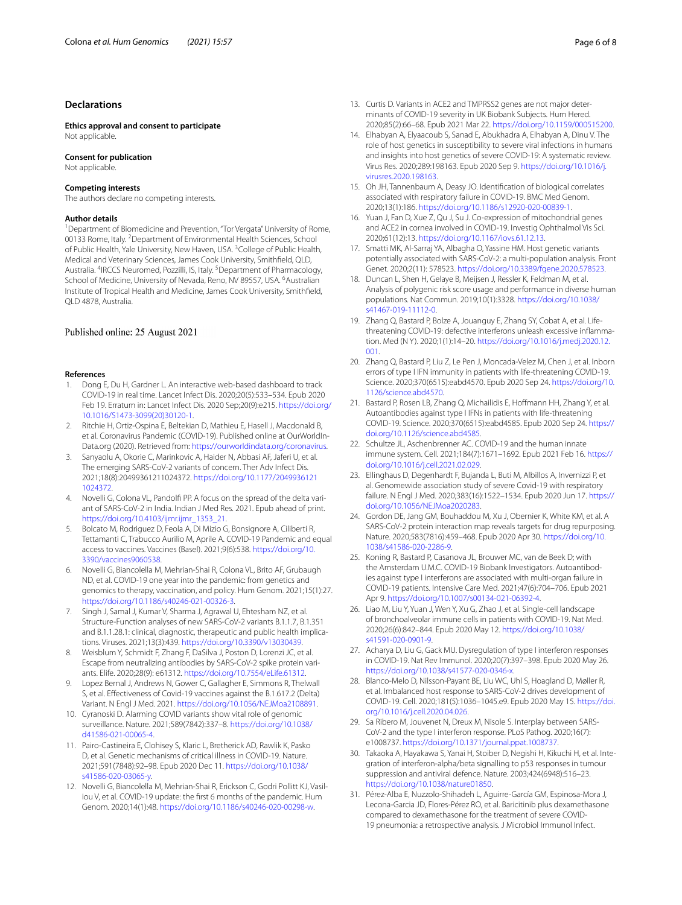#### **Declarations**

**Ethics approval and consent to participate** Not applicable.

#### **Consent for publication**

Not applicable.

#### **Competing interests**

The authors declare no competing interests.

#### **Author details**

<sup>1</sup> Department of Biomedicine and Prevention, "Tor Vergata" University of Rome, 00133 Rome, Italy. <sup>2</sup> Department of Environmental Health Sciences, School of Public Health, Yale University, New Haven, USA. <sup>3</sup> College of Public Health, Medical and Veterinary Sciences, James Cook University, Smithfeld, QLD, Australia. <sup>4</sup>IRCCS Neuromed, Pozzilli, IS, Italy. <sup>5</sup>Department of Pharmacology, School of Medicine, University of Nevada, Reno, NV 89557, USA. <sup>6</sup>Australian Institute of Tropical Health and Medicine, James Cook University, Smithfeld, QLD 4878, Australia.

#### Published online: 25 August 2021

#### **References**

- <span id="page-5-0"></span>Dong E, Du H, Gardner L. An interactive web-based dashboard to track COVID-19 in real time. Lancet Infect Dis. 2020;20(5):533–534. Epub 2020 Feb 19. Erratum in: Lancet Infect Dis. 2020 Sep;20(9):e215. [https://doi.org/](https://doi.org/10.1016/S1473-3099(20)30120-1) [10.1016/S1473-3099\(20\)30120-1](https://doi.org/10.1016/S1473-3099(20)30120-1).
- <span id="page-5-1"></span>2. Ritchie H, Ortiz-Ospina E, Beltekian D, Mathieu E, Hasell J, Macdonald B, et al. Coronavirus Pandemic (COVID-19). Published online at OurWorldIn-Data.org (2020). Retrieved from: <https://ourworldindata.org/coronavirus>.
- <span id="page-5-2"></span>3. Sanyaolu A, Okorie C, Marinkovic A, Haider N, Abbasi AF, Jaferi U, et al. The emerging SARS-CoV-2 variants of concern. Ther Adv Infect Dis. 2021;18(8):20499361211024372. [https://doi.org/10.1177/2049936121](https://doi.org/10.1177/20499361211024372) [1024372](https://doi.org/10.1177/20499361211024372).
- <span id="page-5-3"></span>4. Novelli G, Colona VL, Pandolf PP. A focus on the spread of the delta variant of SARS-CoV-2 in India. Indian J Med Res. 2021. Epub ahead of print. [https://doi.org/10.4103/ijmr.ijmr\\_1353\\_21](https://doi.org/10.4103/ijmr.ijmr_1353_21).
- <span id="page-5-4"></span>5. Bolcato M, Rodriguez D, Feola A, Di Mizio G, Bonsignore A, Ciliberti R, Tettamanti C, Trabucco Aurilio M, Aprile A. COVID-19 Pandemic and equal access to vaccines. Vaccines (Basel). 2021;9(6):538. [https://doi.org/10.](https://doi.org/10.3390/vaccines9060538) [3390/vaccines9060538](https://doi.org/10.3390/vaccines9060538).
- <span id="page-5-5"></span>6. Novelli G, Biancolella M, Mehrian-Shai R, Colona VL, Brito AF, Grubaugh ND, et al. COVID-19 one year into the pandemic: from genetics and genomics to therapy, vaccination, and policy. Hum Genom. 2021;15(1):27. <https://doi.org/10.1186/s40246-021-00326-3>.
- <span id="page-5-6"></span>7. Singh J, Samal J, Kumar V, Sharma J, Agrawal U, Ehtesham NZ, et al. Structure-Function analyses of new SARS-CoV-2 variants B.1.1.7, B.1.351 and B.1.1.28.1: clinical, diagnostic, therapeutic and public health implications. Viruses. 2021;13(3):439. <https://doi.org/10.3390/v13030439>.
- <span id="page-5-7"></span>8. Weisblum Y, Schmidt F, Zhang F, DaSilva J, Poston D, Lorenzi JC, et al. Escape from neutralizing antibodies by SARS-CoV-2 spike protein variants. Elife. 2020;28(9): e61312. <https://doi.org/10.7554/eLife.61312>.
- <span id="page-5-8"></span>9. Lopez Bernal J, Andrews N, Gower C, Gallagher E, Simmons R, Thelwall S, et al. Efectiveness of Covid-19 vaccines against the B.1.617.2 (Delta) Variant. N Engl J Med. 2021. [https://doi.org/10.1056/NEJMoa2108891.](https://doi.org/10.1056/NEJMoa2108891)
- <span id="page-5-9"></span>10. Cyranoski D. Alarming COVID variants show vital role of genomic surveillance. Nature. 2021;589(7842):337–8. [https://doi.org/10.1038/](https://doi.org/10.1038/d41586-021-00065-4) [d41586-021-00065-4.](https://doi.org/10.1038/d41586-021-00065-4)
- <span id="page-5-10"></span>11. Pairo-Castineira E, Clohisey S, Klaric L, Bretherick AD, Rawlik K, Pasko D, et al. Genetic mechanisms of critical illness in COVID-19. Nature. 2021;591(7848):92–98. Epub 2020 Dec 11. [https://doi.org/10.1038/](https://doi.org/10.1038/s41586-020-03065-y) [s41586-020-03065-y.](https://doi.org/10.1038/s41586-020-03065-y)
- 12. Novelli G, Biancolella M, Mehrian-Shai R, Erickson C, Godri Pollitt KJ, Vasiliou V, et al. COVID-19 update: the frst 6 months of the pandemic. Hum Genom. 2020;14(1):48. [https://doi.org/10.1186/s40246-020-00298-w.](https://doi.org/10.1186/s40246-020-00298-w)
- 13. Curtis D. Variants in ACE2 and TMPRSS2 genes are not major determinants of COVID-19 severity in UK Biobank Subjects. Hum Hered. 2020;85(2):66–68. Epub 2021 Mar 22.<https://doi.org/10.1159/000515200>.
- 14. Elhabyan A, Elyaacoub S, Sanad E, Abukhadra A, Elhabyan A, Dinu V. The role of host genetics in susceptibility to severe viral infections in humans and insights into host genetics of severe COVID-19: A systematic review. Virus Res. 2020;289:198163. Epub 2020 Sep 9. [https://doi.org/10.1016/j.](https://doi.org/10.1016/j.virusres.2020.198163) [virusres.2020.198163](https://doi.org/10.1016/j.virusres.2020.198163).
- 15. Oh JH, Tannenbaum A, Deasy JO. Identifcation of biological correlates associated with respiratory failure in COVID-19. BMC Med Genom. 2020;13(1):186. <https://doi.org/10.1186/s12920-020-00839-1>.
- 16. Yuan J, Fan D, Xue Z, Qu J, Su J. Co-expression of mitochondrial genes and ACE2 in cornea involved in COVID-19. Investig Ophthalmol Vis Sci. 2020;61(12):13. <https://doi.org/10.1167/iovs.61.12.13>.
- <span id="page-5-11"></span>17. Smatti MK, Al-Sarraj YA, Albagha O, Yassine HM. Host genetic variants potentially associated with SARS-CoV-2: a multi-population analysis. Front Genet. 2020;2(11): 578523. [https://doi.org/10.3389/fgene.2020.578523.](https://doi.org/10.3389/fgene.2020.578523)
- <span id="page-5-12"></span>18. Duncan L, Shen H, Gelaye B, Meijsen J, Ressler K, Feldman M, et al. Analysis of polygenic risk score usage and performance in diverse human populations. Nat Commun. 2019;10(1):3328. [https://doi.org/10.1038/](https://doi.org/10.1038/s41467-019-11112-0) [s41467-019-11112-0](https://doi.org/10.1038/s41467-019-11112-0).
- <span id="page-5-13"></span>19. Zhang Q, Bastard P, Bolze A, Jouanguy E, Zhang SY, Cobat A, et al. Lifethreatening COVID-19: defective interferons unleash excessive infammation. Med (N Y). 2020;1(1):14–20. [https://doi.org/10.1016/j.medj.2020.12.](https://doi.org/10.1016/j.medj.2020.12.001) [001.](https://doi.org/10.1016/j.medj.2020.12.001)
- <span id="page-5-14"></span>20. Zhang Q, Bastard P, Liu Z, Le Pen J, Moncada-Velez M, Chen J, et al. Inborn errors of type I IFN immunity in patients with life-threatening COVID-19. Science. 2020;370(6515):eabd4570. Epub 2020 Sep 24. [https://doi.org/10.](https://doi.org/10.1126/science.abd4570) [1126/science.abd4570.](https://doi.org/10.1126/science.abd4570)
- <span id="page-5-15"></span>21. Bastard P, Rosen LB, Zhang Q, Michailidis E, Hoffmann HH, Zhang Y, et al. Autoantibodies against type I IFNs in patients with life-threatening COVID-19. Science. 2020;370(6515):eabd4585. Epub 2020 Sep 24. [https://](https://doi.org/10.1126/science.abd4585) [doi.org/10.1126/science.abd4585](https://doi.org/10.1126/science.abd4585)
- <span id="page-5-16"></span>22. Schultze JL, Aschenbrenner AC. COVID-19 and the human innate immune system. Cell. 2021;184(7):1671–1692. Epub 2021 Feb 16. [https://](https://doi.org/10.1016/j.cell.2021.02.029) [doi.org/10.1016/j.cell.2021.02.029](https://doi.org/10.1016/j.cell.2021.02.029).
- <span id="page-5-17"></span>23. Ellinghaus D, Degenhardt F, Bujanda L, Buti M, Albillos A, Invernizzi P, et al. Genomewide association study of severe Covid-19 with respiratory failure. N Engl J Med. 2020;383(16):1522–1534. Epub 2020 Jun 17. [https://](https://doi.org/10.1056/NEJMoa2020283) [doi.org/10.1056/NEJMoa2020283](https://doi.org/10.1056/NEJMoa2020283).
- <span id="page-5-18"></span>24. Gordon DE, Jang GM, Bouhaddou M, Xu J, Obernier K, White KM, et al. A SARS-CoV-2 protein interaction map reveals targets for drug repurposing. Nature. 2020;583(7816):459–468. Epub 2020 Apr 30. [https://doi.org/10.](https://doi.org/10.1038/s41586-020-2286-9) [1038/s41586-020-2286-9](https://doi.org/10.1038/s41586-020-2286-9).
- <span id="page-5-19"></span>25. Koning R, Bastard P, Casanova JL, Brouwer MC, van de Beek D; with the Amsterdam U.M.C. COVID-19 Biobank Investigators. Autoantibodies against type I interferons are associated with multi-organ failure in COVID-19 patients. Intensive Care Med. 2021;47(6):704–706. Epub 2021 Apr 9. <https://doi.org/10.1007/s00134-021-06392-4>.
- <span id="page-5-20"></span>26. Liao M, Liu Y, Yuan J, Wen Y, Xu G, Zhao J, et al. Single-cell landscape of bronchoalveolar immune cells in patients with COVID-19. Nat Med. 2020;26(6):842–844. Epub 2020 May 12. [https://doi.org/10.1038/](https://doi.org/10.1038/s41591-020-0901-9) [s41591-020-0901-9.](https://doi.org/10.1038/s41591-020-0901-9)
- <span id="page-5-21"></span>27. Acharya D, Liu G, Gack MU. Dysregulation of type I interferon responses in COVID-19. Nat Rev Immunol. 2020;20(7):397–398. Epub 2020 May 26. <https://doi.org/10.1038/s41577-020-0346-x>.
- 28. Blanco-Melo D, Nilsson-Payant BE, Liu WC, Uhl S, Hoagland D, Møller R, et al. Imbalanced host response to SARS-CoV-2 drives development of COVID-19. Cell. 2020;181(5):1036–1045.e9. Epub 2020 May 15. [https://doi.](https://doi.org/10.1016/j.cell.2020.04.026) [org/10.1016/j.cell.2020.04.026](https://doi.org/10.1016/j.cell.2020.04.026).
- <span id="page-5-22"></span>29. Sa Ribero M, Jouvenet N, Dreux M, Nisole S. Interplay between SARS-CoV-2 and the type I interferon response. PLoS Pathog. 2020;16(7): e1008737. [https://doi.org/10.1371/journal.ppat.1008737.](https://doi.org/10.1371/journal.ppat.1008737)
- <span id="page-5-23"></span>30. Takaoka A, Hayakawa S, Yanai H, Stoiber D, Negishi H, Kikuchi H, et al. Integration of interferon-alpha/beta signalling to p53 responses in tumour suppression and antiviral defence. Nature. 2003;424(6948):516–23. <https://doi.org/10.1038/nature01850>.
- <span id="page-5-24"></span>31. Pérez-Alba E, Nuzzolo-Shihadeh L, Aguirre-García GM, Espinosa-Mora J, Lecona-Garcia JD, Flores-Pérez RO, et al. Baricitinib plus dexamethasone compared to dexamethasone for the treatment of severe COVID-19 pneumonia: a retrospective analysis. J Microbiol Immunol Infect.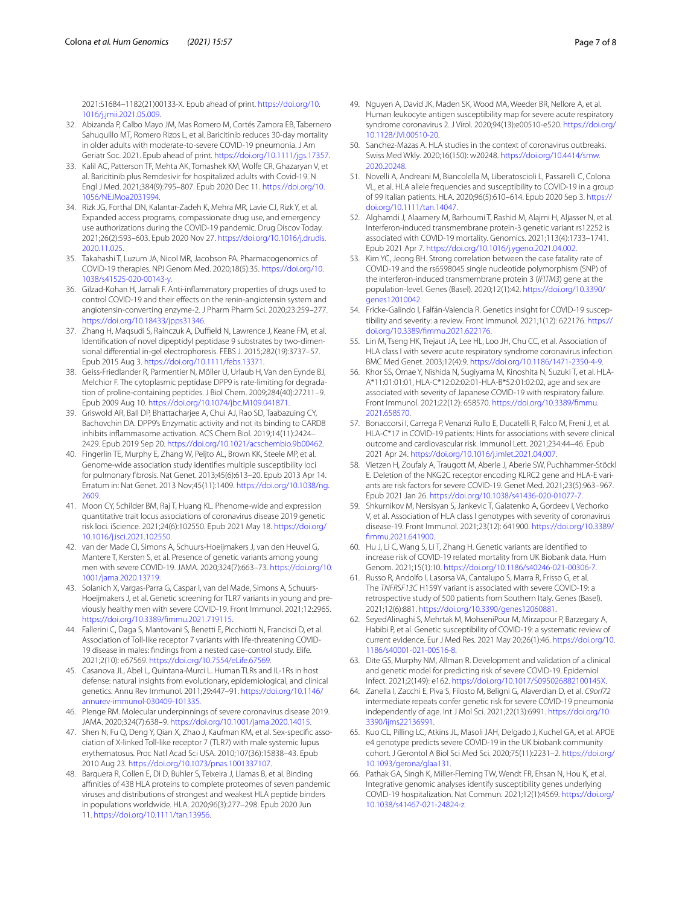2021:S1684–1182(21)00133-X. Epub ahead of print. [https://doi.org/10.](https://doi.org/10.1016/j.jmii.2021.05.009) [1016/j.jmii.2021.05.009.](https://doi.org/10.1016/j.jmii.2021.05.009)

- 32. Abizanda P, Calbo Mayo JM, Mas Romero M, Cortés Zamora EB, Tabernero Sahuquillo MT, Romero Rizos L, et al. Baricitinib reduces 30-day mortality in older adults with moderate-to-severe COVID-19 pneumonia. J Am Geriatr Soc. 2021. Epub ahead of print. <https://doi.org/10.1111/jgs.17357>.
- 33. Kalil AC, Patterson TF, Mehta AK, Tomashek KM, Wolfe CR, Ghazaryan V, et al. Baricitinib plus Remdesivir for hospitalized adults with Covid-19. N Engl J Med. 2021;384(9):795–807. Epub 2020 Dec 11. [https://doi.org/10.](https://doi.org/10.1056/NEJMoa2031994) [1056/NEJMoa2031994.](https://doi.org/10.1056/NEJMoa2031994)
- 34. Rizk JG, Forthal DN, Kalantar-Zadeh K, Mehra MR, Lavie CJ, Rizk Y, et al. Expanded access programs, compassionate drug use, and emergency use authorizations during the COVID-19 pandemic. Drug Discov Today. 2021;26(2):593–603. Epub 2020 Nov 27. [https://doi.org/10.1016/j.drudis.](https://doi.org/10.1016/j.drudis.2020.11.025) [2020.11.025](https://doi.org/10.1016/j.drudis.2020.11.025).
- 35. Takahashi T, Luzum JA, Nicol MR, Jacobson PA. Pharmacogenomics of COVID-19 therapies. NPJ Genom Med. 2020;18(5):35. [https://doi.org/10.](https://doi.org/10.1038/s41525-020-00143-y) [1038/s41525-020-00143-y](https://doi.org/10.1038/s41525-020-00143-y).
- <span id="page-6-10"></span>36. Gilzad-Kohan H, Jamali F. Anti-infammatory properties of drugs used to control COVID-19 and their effects on the renin-angiotensin system and angiotensin-converting enzyme-2. J Pharm Pharm Sci. 2020;23:259–277. <https://doi.org/10.18433/jpps31346>.
- <span id="page-6-11"></span>37. Zhang H, Maqsudi S, Rainczuk A, Duffield N, Lawrence J, Keane FM, et al. Identifcation of novel dipeptidyl peptidase 9 substrates by two-dimensional diferential in-gel electrophoresis. FEBS J. 2015;282(19):3737–57. Epub 2015 Aug 3. [https://doi.org/10.1111/febs.13371.](https://doi.org/10.1111/febs.13371)
- 38. Geiss-Friedlander R, Parmentier N, Möller U, Urlaub H, Van den Eynde BJ, Melchior F. The cytoplasmic peptidase DPP9 is rate-limiting for degradation of proline-containing peptides. J Biol Chem. 2009;284(40):27211–9. Epub 2009 Aug 10. [https://doi.org/10.1074/jbc.M109.041871.](https://doi.org/10.1074/jbc.M109.041871)
- <span id="page-6-12"></span>39. Griswold AR, Ball DP, Bhattacharjee A, Chui AJ, Rao SD, Taabazuing CY, Bachovchin DA. DPP9's Enzymatic activity and not its binding to CARD8 inhibits infammasome activation. ACS Chem Biol. 2019;14(11):2424– 2429. Epub 2019 Sep 20. [https://doi.org/10.1021/acschembio.9b00462.](https://doi.org/10.1021/acschembio.9b00462)
- <span id="page-6-13"></span>40. Fingerlin TE, Murphy E, Zhang W, Peljto AL, Brown KK, Steele MP, et al. Genome-wide association study identifes multiple susceptibility loci for pulmonary fbrosis. Nat Genet. 2013;45(6):613–20. Epub 2013 Apr 14. Erratum in: Nat Genet. 2013 Nov;45(11):1409. [https://doi.org/10.1038/ng.](https://doi.org/10.1038/ng.2609) [2609](https://doi.org/10.1038/ng.2609).
- <span id="page-6-9"></span>41. Moon CY, Schilder BM, Raj T, Huang KL. Phenome-wide and expression quantitative trait locus associations of coronavirus disease 2019 genetic risk loci. iScience. 2021;24(6):102550. Epub 2021 May 18. [https://doi.org/](https://doi.org/10.1016/j.isci.2021.102550) [10.1016/j.isci.2021.102550.](https://doi.org/10.1016/j.isci.2021.102550)
- <span id="page-6-20"></span>42. van der Made CI, Simons A, Schuurs-Hoeijmakers J, van den Heuvel G, Mantere T, Kersten S, et al. Presence of genetic variants among young men with severe COVID-19. JAMA. 2020;324(7):663–73. [https://doi.org/10.](https://doi.org/10.1001/jama.2020.13719) [1001/jama.2020.13719](https://doi.org/10.1001/jama.2020.13719).
- <span id="page-6-21"></span>43. Solanich X, Vargas-Parra G, Caspar I, van del Made, Simons A, Schuurs-Hoeijmakers J, et al. Genetic screening for TLR7 variants in young and previously healthy men with severe COVID-19. Front Immunol. 2021;12:2965. [https://doi.org/10.3389/fmmu.2021.719115.](https://doi.org/10.3389/fimmu.2021.719115)
- <span id="page-6-22"></span>44. Fallerini C, Daga S, Mantovani S, Benetti E, Picchiotti N, Francisci D, et al. Association of Toll-like receptor 7 variants with life-threatening COVID-19 disease in males: fndings from a nested case-control study. Elife. 2021;2(10): e67569. [https://doi.org/10.7554/eLife.67569.](https://doi.org/10.7554/eLife.67569)
- <span id="page-6-23"></span>45. Casanova JL, Abel L, Quintana-Murci L. Human TLRs and IL-1Rs in host defense: natural insights from evolutionary, epidemiological, and clinical genetics. Annu Rev Immunol. 2011;29:447–91. [https://doi.org/10.1146/](https://doi.org/10.1146/annurev-immunol-030409-101335) [annurev-immunol-030409-101335](https://doi.org/10.1146/annurev-immunol-030409-101335).
- <span id="page-6-24"></span>46. Plenge RM. Molecular underpinnings of severe coronavirus disease 2019. JAMA. 2020;324(7):638–9. [https://doi.org/10.1001/jama.2020.14015.](https://doi.org/10.1001/jama.2020.14015)
- <span id="page-6-25"></span>47. Shen N, Fu Q, Deng Y, Qian X, Zhao J, Kaufman KM, et al. Sex-specifc association of X-linked Toll-like receptor 7 (TLR7) with male systemic lupus erythematosus. Proc Natl Acad Sci USA. 2010;107(36):15838–43. Epub 2010 Aug 23. <https://doi.org/10.1073/pnas.1001337107>.
- <span id="page-6-26"></span>48. Barquera R, Collen E, Di D, Buhler S, Teixeira J, Llamas B, et al. Binding affinities of 438 HLA proteins to complete proteomes of seven pandemic viruses and distributions of strongest and weakest HLA peptide binders in populations worldwide. HLA. 2020;96(3):277–298. Epub 2020 Jun 11. <https://doi.org/10.1111/tan.13956>.
- 49. Nguyen A, David JK, Maden SK, Wood MA, Weeder BR, Nellore A, et al. Human leukocyte antigen susceptibility map for severe acute respiratory syndrome coronavirus 2. J Virol. 2020;94(13):e00510-e520. [https://doi.org/](https://doi.org/10.1128/JVI.00510-20) [10.1128/JVI.00510-20.](https://doi.org/10.1128/JVI.00510-20)
- 50. Sanchez-Mazas A. HLA studies in the context of coronavirus outbreaks. Swiss Med Wkly. 2020;16(150): w20248. [https://doi.org/10.4414/smw.](https://doi.org/10.4414/smw.2020.20248) [2020.20248.](https://doi.org/10.4414/smw.2020.20248)
- <span id="page-6-3"></span>51. Novelli A, Andreani M, Biancolella M, Liberatoscioli L, Passarelli C, Colona VL, et al. HLA allele frequencies and susceptibility to COVID-19 in a group of 99 Italian patients. HLA. 2020;96(5):610–614. Epub 2020 Sep 3. [https://](https://doi.org/10.1111/tan.14047) [doi.org/10.1111/tan.14047.](https://doi.org/10.1111/tan.14047)
- <span id="page-6-6"></span>52. Alghamdi J, Alaamery M, Barhoumi T, Rashid M, Alajmi H, Aljasser N, et al. Interferon-induced transmembrane protein-3 genetic variant rs12252 is associated with COVID-19 mortality. Genomics. 2021;113(4):1733–1741. Epub 2021 Apr 7. [https://doi.org/10.1016/j.ygeno.2021.04.002.](https://doi.org/10.1016/j.ygeno.2021.04.002)
- <span id="page-6-7"></span>53. Kim YC, Jeong BH. Strong correlation between the case fatality rate of COVID-19 and the rs6598045 single nucleotide polymorphism (SNP) of the interferon-induced transmembrane protein 3 (*IFITM3*) gene at the population-level. Genes (Basel). 2020;12(1):42. [https://doi.org/10.3390/](https://doi.org/10.3390/genes12010042) [genes12010042](https://doi.org/10.3390/genes12010042).
- <span id="page-6-14"></span>54. Fricke-Galindo I, Falfán-Valencia R. Genetics insight for COVID-19 susceptibility and severity: a review. Front Immunol. 2021;1(12): 622176. [https://](https://doi.org/10.3389/fimmu.2021.622176) [doi.org/10.3389/fmmu.2021.622176](https://doi.org/10.3389/fimmu.2021.622176).
- <span id="page-6-16"></span>55. Lin M, Tseng HK, Trejaut JA, Lee HL, Loo JH, Chu CC, et al. Association of HLA class I with severe acute respiratory syndrome coronavirus infection. BMC Med Genet. 2003;12(4):9. [https://doi.org/10.1186/1471-2350-4-9.](https://doi.org/10.1186/1471-2350-4-9)
- <span id="page-6-15"></span>56. Khor SS, Omae Y, Nishida N, Sugiyama M, Kinoshita N, Suzuki T, et al. HLA-A\*11:01:01:01, HLA-C\*12:02:02:01-HLA-B\*52:01:02:02, age and sex are associated with severity of Japanese COVID-19 with respiratory failure. Front Immunol. 2021;22(12): 658570. [https://doi.org/10.3389/fmmu.](https://doi.org/10.3389/fimmu.2021.658570) [2021.658570.](https://doi.org/10.3389/fimmu.2021.658570)
- <span id="page-6-17"></span>57. Bonaccorsi I, Carrega P, Venanzi Rullo E, Ducatelli R, Falco M, Freni J, et al. HLA-C\*17 in COVID-19 patients: Hints for associations with severe clinical outcome and cardiovascular risk. Immunol Lett. 2021;234:44–46. Epub 2021 Apr 24. <https://doi.org/10.1016/j.imlet.2021.04.007>.
- <span id="page-6-18"></span>58. Vietzen H, Zoufaly A, Traugott M, Aberle J, Aberle SW, Puchhammer-Stöckl E. Deletion of the NKG2C receptor encoding KLRC2 gene and HLA-E variants are risk factors for severe COVID-19. Genet Med. 2021;23(5):963–967. Epub 2021 Jan 26. [https://doi.org/10.1038/s41436-020-01077-7.](https://doi.org/10.1038/s41436-020-01077-7)
- <span id="page-6-27"></span>59. Shkurnikov M, Nersisyan S, Jankevic T, Galatenko A, Gordeev I, Vechorko V, et al. Association of HLA class I genotypes with severity of coronavirus disease-19. Front Immunol. 2021;23(12): 641900. [https://doi.org/10.3389/](https://doi.org/10.3389/fimmu.2021.641900) [fmmu.2021.641900.](https://doi.org/10.3389/fimmu.2021.641900)
- <span id="page-6-0"></span>60. Hu J, Li C, Wang S, Li T, Zhang H. Genetic variants are identifed to increase risk of COVID-19 related mortality from UK Biobank data. Hum Genom. 2021;15(1):10. <https://doi.org/10.1186/s40246-021-00306-7>.
- <span id="page-6-1"></span>61. Russo R, Andolfo I, Lasorsa VA, Cantalupo S, Marra R, Frisso G, et al. The *TNFRSF13C* H159Y variant is associated with severe COVID-19: a retrospective study of 500 patients from Southern Italy. Genes (Basel). 2021;12(6):881. <https://doi.org/10.3390/genes12060881>.
- <span id="page-6-2"></span>62. SeyedAlinaghi S, Mehrtak M, MohseniPour M, Mirzapour P, Barzegary A, Habibi P, et al. Genetic susceptibility of COVID-19: a systematic review of current evidence. Eur J Med Res. 2021 May 20;26(1):46. [https://doi.org/10.](https://doi.org/10.1186/s40001-021-00516-8) [1186/s40001-021-00516-8.](https://doi.org/10.1186/s40001-021-00516-8)
- <span id="page-6-5"></span>63. Dite GS, Murphy NM, Allman R. Development and validation of a clinical and genetic model for predicting risk of severe COVID-19. Epidemiol Infect. 2021;2(149): e162. <https://doi.org/10.1017/S095026882100145X>.
- <span id="page-6-19"></span>64. Zanella I, Zacchi E, Piva S, Filosto M, Beligni G, Alaverdian D, et al. *C9orf72* intermediate repeats confer genetic risk for severe COVID-19 pneumonia independently of age. Int J Mol Sci. 2021;22(13):6991. [https://doi.org/10.](https://doi.org/10.3390/ijms22136991) [3390/ijms22136991](https://doi.org/10.3390/ijms22136991).
- <span id="page-6-8"></span>65. Kuo CL, Pilling LC, Atkins JL, Masoli JAH, Delgado J, Kuchel GA, et al. APOE e4 genotype predicts severe COVID-19 in the UK biobank community cohort. J Gerontol A Biol Sci Med Sci. 2020;75(11):2231–2. [https://doi.org/](https://doi.org/10.1093/gerona/glaa131) [10.1093/gerona/glaa131.](https://doi.org/10.1093/gerona/glaa131)
- <span id="page-6-4"></span>66. Pathak GA, Singh K, Miller-Fleming TW, Wendt FR, Ehsan N, Hou K, et al. Integrative genomic analyses identify susceptibility genes underlying COVID-19 hospitalization. Nat Commun. 2021;12(1):4569. [https://doi.org/](https://doi.org/10.1038/s41467-021-24824-z) [10.1038/s41467-021-24824-z.](https://doi.org/10.1038/s41467-021-24824-z)